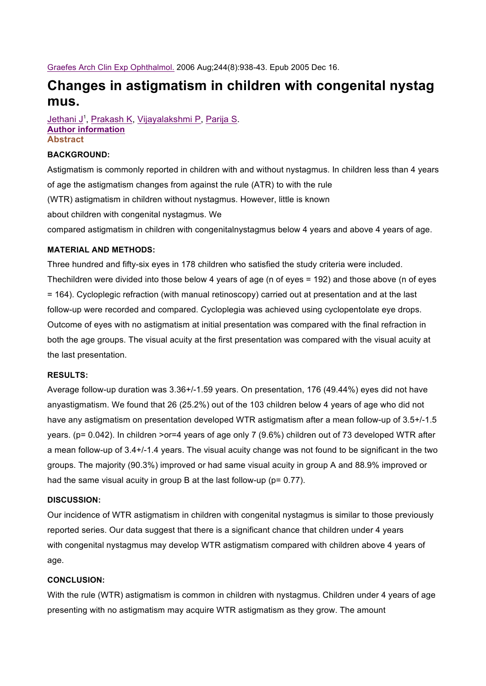Graefes Arch Clin Exp Ophthalmol. 2006 Aug;244(8):938-43. Epub 2005 Dec 16.

# **Changes in astigmatism in children with congenital nystag mus.**

Jethani J<sup>1</sup>, Prakash K, Vijayalakshmi P, Parija S. **Author information Abstract**

## **BACKGROUND:**

Astigmatism is commonly reported in children with and without nystagmus. In children less than 4 years of age the astigmatism changes from against the rule (ATR) to with the rule (WTR) astigmatism in children without nystagmus. However, little is known about children with congenital nystagmus. We compared astigmatism in children with congenitalnystagmus below 4 years and above 4 years of age.

### **MATERIAL AND METHODS:**

Three hundred and fifty-six eyes in 178 children who satisfied the study criteria were included. Thechildren were divided into those below 4 years of age (n of eyes = 192) and those above (n of eyes = 164). Cycloplegic refraction (with manual retinoscopy) carried out at presentation and at the last follow-up were recorded and compared. Cycloplegia was achieved using cyclopentolate eye drops. Outcome of eyes with no astigmatism at initial presentation was compared with the final refraction in both the age groups. The visual acuity at the first presentation was compared with the visual acuity at the last presentation.

### **RESULTS:**

Average follow-up duration was 3.36+/-1.59 years. On presentation, 176 (49.44%) eyes did not have anyastigmatism. We found that 26 (25.2%) out of the 103 children below 4 years of age who did not have any astigmatism on presentation developed WTR astigmatism after a mean follow-up of 3.5+/-1.5 years. (p= 0.042). In children >or=4 years of age only 7 (9.6%) children out of 73 developed WTR after a mean follow-up of 3.4+/-1.4 years. The visual acuity change was not found to be significant in the two groups. The majority (90.3%) improved or had same visual acuity in group A and 88.9% improved or had the same visual acuity in group B at the last follow-up (p= 0.77).

### **DISCUSSION:**

Our incidence of WTR astigmatism in children with congenital nystagmus is similar to those previously reported series. Our data suggest that there is a significant chance that children under 4 years with congenital nystagmus may develop WTR astigmatism compared with children above 4 years of age.

### **CONCLUSION:**

With the rule (WTR) astigmatism is common in children with nystagmus. Children under 4 years of age presenting with no astigmatism may acquire WTR astigmatism as they grow. The amount